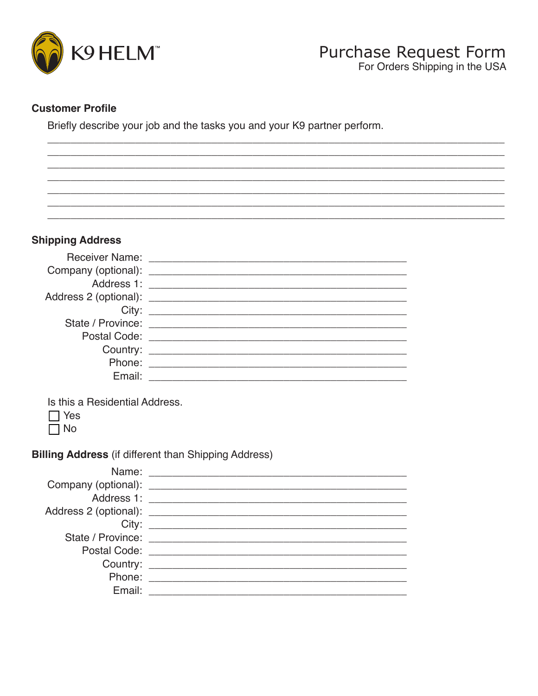

## **Customer Profile**

Briefly describe your job and the tasks you and your K9 partner perform.

### **Shipping Address**

|        | Receiver Name: <u>______________</u>                                                                                                                                                                                           |
|--------|--------------------------------------------------------------------------------------------------------------------------------------------------------------------------------------------------------------------------------|
|        |                                                                                                                                                                                                                                |
|        |                                                                                                                                                                                                                                |
|        |                                                                                                                                                                                                                                |
|        |                                                                                                                                                                                                                                |
|        |                                                                                                                                                                                                                                |
|        | Postal Code: <u>_________________________</u>                                                                                                                                                                                  |
|        | Country: Country: Country: Country: Country: Country: Country: Country: Country: Countries of the Countries of the Countries of the Countries of the Countries of the Countries of the Countries of the Countries of the Count |
|        | Phone: <u>________________________</u>                                                                                                                                                                                         |
| Email: |                                                                                                                                                                                                                                |
|        |                                                                                                                                                                                                                                |

Is this a Residential Address.

 $\Box$  Yes

 $\Box$  No

**Billing Address (if different than Shipping Address)** 

|        | State / Province: 2008 2014 2022 2023 2024 2022 2023 2024 2022 2023 2024 2022 2023 2024 2022 2023 2024 2025 20 |
|--------|----------------------------------------------------------------------------------------------------------------|
|        |                                                                                                                |
|        |                                                                                                                |
|        | Phone: <u>__________________</u>                                                                               |
| Email: |                                                                                                                |
|        |                                                                                                                |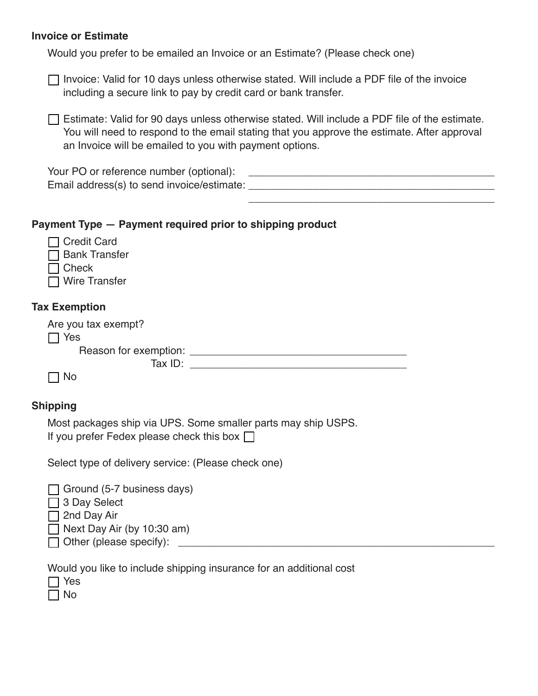#### **Invoice or Estimate**

Would you prefer to be emailed an Invoice or an Estimate? (Please check one)

| $\Box$ Invoice: Valid for 10 days unless otherwise stated. Will include a PDF file of the invoice |  |  |  |
|---------------------------------------------------------------------------------------------------|--|--|--|
| including a secure link to pay by credit card or bank transfer.                                   |  |  |  |

 $\Box$  Estimate: Valid for 90 days unless otherwise stated. Will include a PDF file of the estimate. You will need to respond to the email stating that you approve the estimate. After approval an Invoice will be emailed to you with payment options.

## Payment Type - Payment required prior to shipping product

| <b>Credit Card</b><br><b>Bank Transfer</b>                                                                        |
|-------------------------------------------------------------------------------------------------------------------|
| Check                                                                                                             |
| <b>Wire Transfer</b>                                                                                              |
|                                                                                                                   |
| <b>Tax Exemption</b>                                                                                              |
| Are you tax exempt?                                                                                               |
| $\sqsupset$ Yes                                                                                                   |
|                                                                                                                   |
|                                                                                                                   |
| <b>No</b>                                                                                                         |
|                                                                                                                   |
| <b>Shipping</b>                                                                                                   |
| Most packages ship via UPS. Some smaller parts may ship USPS.<br>If you prefer Fedex please check this box $\Box$ |
| Select type of delivery service: (Please check one)                                                               |
| Ground (5-7 business days)                                                                                        |
| 3 Day Select                                                                                                      |
| 2nd Day Air                                                                                                       |
| Next Day Air (by 10:30 am)                                                                                        |
| Other (please specify):                                                                                           |

Would you like to include shipping insurance for an additional cost

 $\Box$  Yes

 $\Box$  No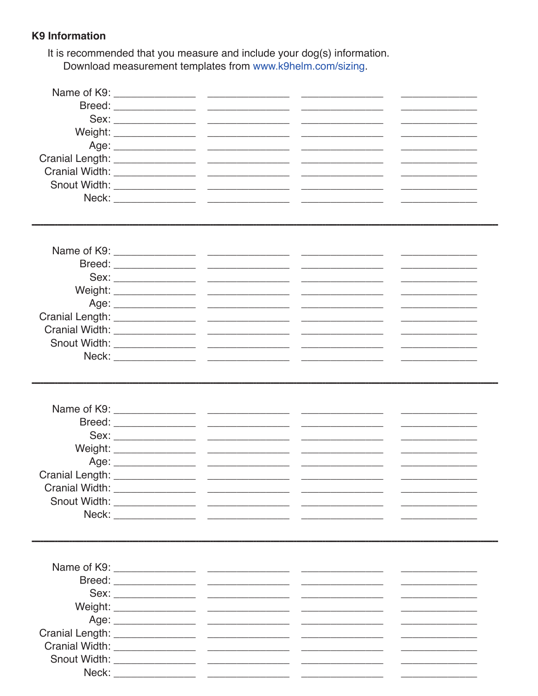## **K9 Information**

It is recommended that you measure and include your dog(s) information. Download measurement templates from www.k9helm.com/sizing.

| Neck: |  |  |
|-------|--|--|